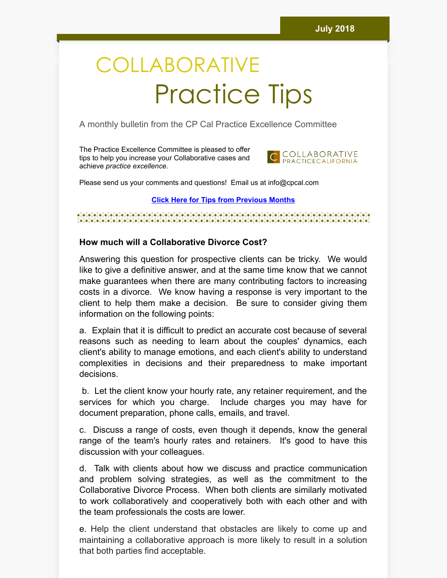## **COLLABORATIVE** Practice Tips

A monthly bulletin from the CP Cal Practice Excellence Committee

The Practice Excellence Committee is pleased to offer tips to help you increase your Collaborative cases and achieve *practice excellence.*



Please send us your comments and questions! Email us at info@cpcal.com

## **Click Here for Tips from [Previous](http://www.cpcal.com/for-professionals/practice-tips-newsletter/) Months**

 $\bullet\hspace{0.2cm} \bullet\hspace{0.2cm} \bullet\hspace{0.2cm} \bullet\hspace{0.2cm} \bullet\hspace{0.2cm} \bullet\hspace{0.2cm} \bullet\hspace{0.2cm} \bullet\hspace{0.2cm} \bullet\hspace{0.2cm} \bullet\hspace{0.2cm} \bullet\hspace{0.2cm} \bullet\hspace{0.2cm} \bullet\hspace{0.2cm} \bullet\hspace{0.2cm} \bullet\hspace{0.2cm} \bullet\hspace{0.2cm} \bullet\hspace{0.2cm} \bullet\hspace{0.2cm} \bullet\hspace{0.2cm} \bullet\hspace{0.2cm}$ 

## **How much will a Collaborative Divorce Cost?**

Answering this question for prospective clients can be tricky. We would like to give a definitive answer, and at the same time know that we cannot make guarantees when there are many contributing factors to increasing costs in a divorce. We know having a response is very important to the client to help them make a decision. Be sure to consider giving them information on the following points:

a. Explain that it is difficult to predict an accurate cost because of several reasons such as needing to learn about the couples' dynamics, each client's ability to manage emotions, and each client's ability to understand complexities in decisions and their preparedness to make important decisions.

b. Let the client know your hourly rate, any retainer requirement, and the services for which you charge. Include charges you may have for document preparation, phone calls, emails, and travel.

c. Discuss a range of costs, even though it depends, know the general range of the team's hourly rates and retainers. It's good to have this discussion with your colleagues.

d. Talk with clients about how we discuss and practice communication and problem solving strategies, as well as the commitment to the Collaborative Divorce Process. When both clients are similarly motivated to work collaboratively and cooperatively both with each other and with the team professionals the costs are lower.

e. Help the client understand that obstacles are likely to come up and maintaining a collaborative approach is more likely to result in a solution that both parties find acceptable.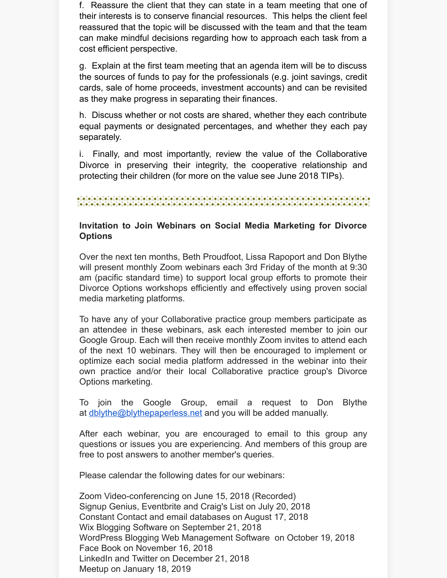f. Reassure the client that they can state in a team meeting that one of their interests is to conserve financial resources. This helps the client feel reassured that the topic will be discussed with the team and that the team can make mindful decisions regarding how to approach each task from a cost efficient perspective.

g. Explain at the first team meeting that an agenda item will be to discuss the sources of funds to pay for the professionals (e.g. joint savings, credit cards, sale of home proceeds, investment accounts) and can be revisited as they make progress in separating their finances.

h. Discuss whether or not costs are shared, whether they each contribute equal payments or designated percentages, and whether they each pay separately.

i. Finally, and most importantly, review the value of the Collaborative Divorce in preserving their integrity, the cooperative relationship and protecting their children (for more on the value see June 2018 TIPs).

## **Invitation to Join Webinars on Social Media Marketing for Divorce Options**

Over the next ten months, Beth Proudfoot, Lissa Rapoport and Don Blythe will present monthly Zoom webinars each 3rd Friday of the month at 9:30 am (pacific standard time) to support local group efforts to promote their Divorce Options workshops efficiently and effectively using proven social media marketing platforms.

To have any of your Collaborative practice group members participate as an attendee in these webinars, ask each interested member to join our Google Group. Each will then receive monthly Zoom invites to attend each of the next 10 webinars. They will then be encouraged to implement or optimize each social media platform addressed in the webinar into their own practice and/or their local Collaborative practice group's Divorce Options marketing.

To join the Google Group, email a request to Don Blythe at [dblythe@blythepaperless.net](mailto:dblythe@blythepaperless.net) and you will be added manually.

After each webinar, you are encouraged to email to this group any questions or issues you are experiencing. And members of this group are free to post answers to another member's queries.

Please calendar the following dates for our webinars:

Zoom Video-conferencing on June 15, 2018 (Recorded) Signup Genius, Eventbrite and Craig's List on July 20, 2018 Constant Contact and email databases on August 17, 2018 Wix Blogging Software on September 21, 2018 WordPress Blogging Web Management Software on October 19, 2018 Face Book on November 16, 2018 LinkedIn and Twitter on December 21, 2018 Meetup on January 18, 2019